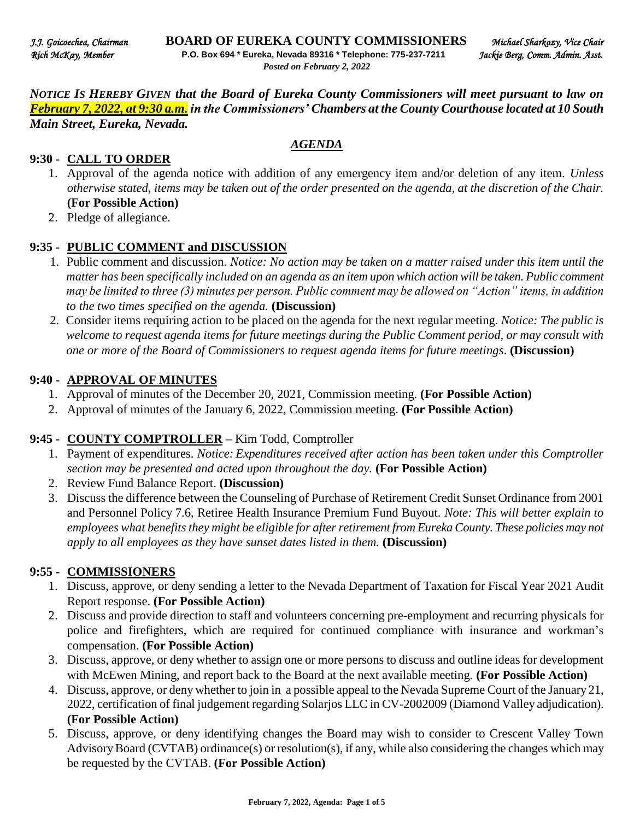*NOTICE IS HEREBY GIVEN that the Board of Eureka County Commissioners will meet pursuant to law on February 7, 2022, at 9:30 a.m. in the Commissioners' Chambers at the County Courthouse located at 10 South Main Street, Eureka, Nevada.* 

#### *AGENDA*

## **9:30 - CALL TO ORDER**

- 1. Approval of the agenda notice with addition of any emergency item and/or deletion of any item. *Unless otherwise stated, items may be taken out of the order presented on the agenda, at the discretion of the Chair.* **(For Possible Action)**
- 2. Pledge of allegiance.

#### **9:35 - PUBLIC COMMENT and DISCUSSION**

- 1. Public comment and discussion. *Notice: No action may be taken on a matter raised under this item until the matter has been specifically included on an agenda as an item upon which action will be taken. Public comment may be limited to three (3) minutes per person. Public comment may be allowed on "Action" items, in addition to the two times specified on the agenda.* **(Discussion)**
- 2. Consider items requiring action to be placed on the agenda for the next regular meeting. *Notice: The public is welcome to request agenda items for future meetings during the Public Comment period, or may consult with one or more of the Board of Commissioners to request agenda items for future meetings*. **(Discussion)**

### **9:40 - APPROVAL OF MINUTES**

- 1. Approval of minutes of the December 20, 2021, Commission meeting. **(For Possible Action)**
- 2. Approval of minutes of the January 6, 2022, Commission meeting. **(For Possible Action)**

## **9:45 - COUNTY COMPTROLLER –** Kim Todd, Comptroller

- 1. Payment of expenditures. *Notice: Expenditures received after action has been taken under this Comptroller section may be presented and acted upon throughout the day.* **(For Possible Action)**
- 2. Review Fund Balance Report. **(Discussion)**
- 3. Discuss the difference between the Counseling of Purchase of Retirement Credit Sunset Ordinance from 2001 and Personnel Policy 7.6, Retiree Health Insurance Premium Fund Buyout. *Note: This will better explain to employees what benefits they might be eligible for after retirement from Eureka County. These policies may not apply to all employees as they have sunset dates listed in them.* **(Discussion)**

#### **9:55 - COMMISSIONERS**

- 1. Discuss, approve, or deny sending a letter to the Nevada Department of Taxation for Fiscal Year 2021 Audit Report response. **(For Possible Action)**
- 2. Discuss and provide direction to staff and volunteers concerning pre-employment and recurring physicals for police and firefighters, which are required for continued compliance with insurance and workman's compensation. **(For Possible Action)**
- 3. Discuss, approve, or deny whether to assign one or more persons to discuss and outline ideas for development with McEwen Mining, and report back to the Board at the next available meeting. **(For Possible Action)**
- 4. Discuss, approve, or deny whether to join in a possible appeal to the Nevada Supreme Court of the January 21, 2022, certification of final judgement regarding Solarjos LLC in CV-2002009 (Diamond Valley adjudication). **(For Possible Action)**
- 5. Discuss, approve, or deny identifying changes the Board may wish to consider to Crescent Valley Town Advisory Board (CVTAB) ordinance(s) or resolution(s), if any, while also considering the changes which may be requested by the CVTAB. **(For Possible Action)**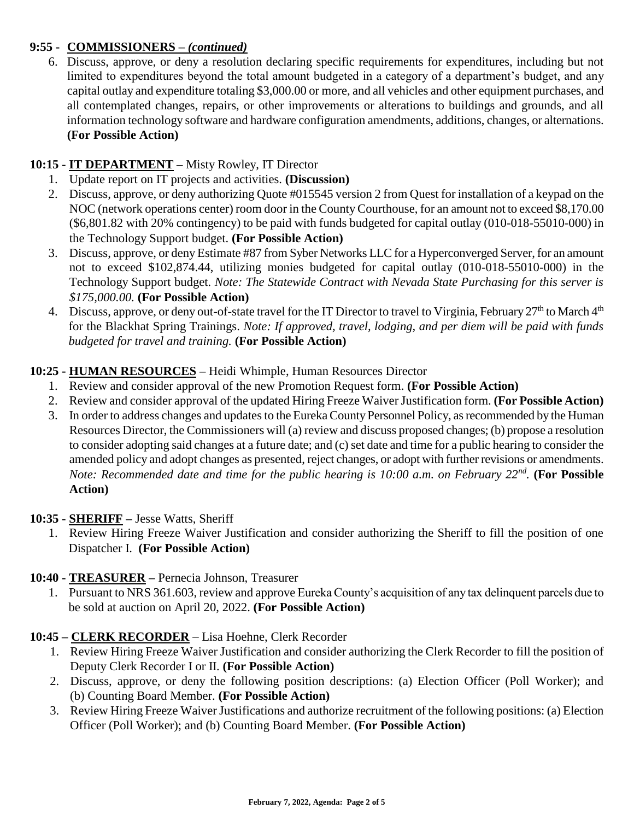# **9:55 - COMMISSIONERS –** *(continued)*

6. Discuss, approve, or deny a resolution declaring specific requirements for expenditures, including but not limited to expenditures beyond the total amount budgeted in a category of a department's budget, and any capital outlay and expenditure totaling \$3,000.00 or more, and all vehicles and other equipment purchases, and all contemplated changes, repairs, or other improvements or alterations to buildings and grounds, and all information technology software and hardware configuration amendments, additions, changes, or alternations. **(For Possible Action)** 

# **10:15 - IT DEPARTMENT –** Misty Rowley, IT Director

- 1. Update report on IT projects and activities. **(Discussion)**
- 2. Discuss, approve, or deny authorizing Quote #015545 version 2 from Quest for installation of a keypad on the NOC (network operations center) room door in the County Courthouse, for an amount not to exceed \$8,170.00 (\$6,801.82 with 20% contingency) to be paid with funds budgeted for capital outlay (010-018-55010-000) in the Technology Support budget. **(For Possible Action)**
- 3. Discuss, approve, or deny Estimate #87 from Syber Networks LLC for a Hyperconverged Server, for an amount not to exceed \$102,874.44, utilizing monies budgeted for capital outlay (010-018-55010-000) in the Technology Support budget. *Note: The Statewide Contract with Nevada State Purchasing for this server is \$175,000.00.* **(For Possible Action)**
- 4. Discuss, approve, or deny out-of-state travel for the IT Director to travel to Virginia, February 27<sup>th</sup> to March 4<sup>th</sup> for the Blackhat Spring Trainings. *Note: If approved, travel, lodging, and per diem will be paid with funds budgeted for travel and training.* **(For Possible Action)**

## **10:25 - HUMAN RESOURCES –** Heidi Whimple, Human Resources Director

- 1. Review and consider approval of the new Promotion Request form. **(For Possible Action)**
- 2. Review and consider approval of the updated Hiring Freeze Waiver Justification form. **(For Possible Action)**
- 3. In order to address changes and updates to the Eureka County Personnel Policy, as recommended by the Human Resources Director, the Commissioners will (a) review and discuss proposed changes; (b) propose a resolution to consider adopting said changes at a future date; and (c) set date and time for a public hearing to consider the amended policy and adopt changes as presented, reject changes, or adopt with further revisions or amendments. *Note: Recommended date and time for the public hearing is 10:00 a.m. on February 22nd .* **(For Possible Action)**

## **10:35 - SHERIFF –** Jesse Watts, Sheriff

1. Review Hiring Freeze Waiver Justification and consider authorizing the Sheriff to fill the position of one Dispatcher I. **(For Possible Action)** 

## **10:40 - TREASURER –** Pernecia Johnson, Treasurer

1. Pursuant to NRS 361.603, review and approve Eureka County's acquisition of any tax delinquent parcels due to be sold at auction on April 20, 2022. **(For Possible Action)** 

## **10:45 – CLERK RECORDER** – Lisa Hoehne, Clerk Recorder

- 1. Review Hiring Freeze Waiver Justification and consider authorizing the Clerk Recorder to fill the position of Deputy Clerk Recorder I or II. **(For Possible Action)**
- 2. Discuss, approve, or deny the following position descriptions: (a) Election Officer (Poll Worker); and (b) Counting Board Member. **(For Possible Action)**
- 3. Review Hiring Freeze Waiver Justifications and authorize recruitment of the following positions: (a) Election Officer (Poll Worker); and (b) Counting Board Member. **(For Possible Action)**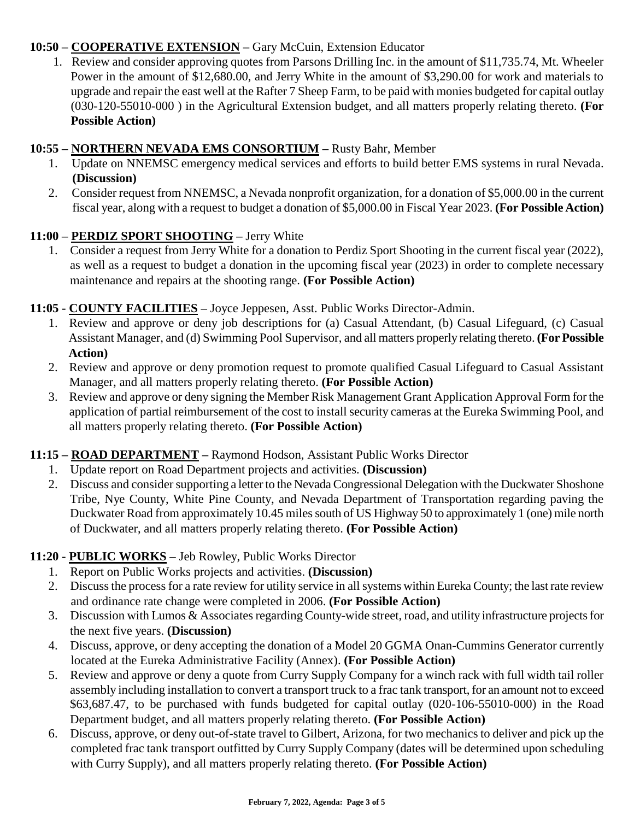# **10:50 – COOPERATIVE EXTENSION –** Gary McCuin, Extension Educator

1. Review and consider approving quotes from Parsons Drilling Inc. in the amount of \$11,735.74, Mt. Wheeler Power in the amount of \$12,680.00, and Jerry White in the amount of \$3,290.00 for work and materials to upgrade and repair the east well at the Rafter 7 Sheep Farm, to be paid with monies budgeted for capital outlay (030-120-55010-000 ) in the Agricultural Extension budget, and all matters properly relating thereto. **(For Possible Action)** 

# **10:55 – NORTHERN NEVADA EMS CONSORTIUM –** Rusty Bahr, Member

- 1. Update on NNEMSC emergency medical services and efforts to build better EMS systems in rural Nevada. **(Discussion)**
- 2. Consider request from NNEMSC, a Nevada nonprofit organization, for a donation of \$5,000.00 in the current fiscal year, along with a request to budget a donation of \$5,000.00 in Fiscal Year 2023. **(For Possible Action)**

## **11:00 – PERDIZ SPORT SHOOTING –** Jerry White

1. Consider a request from Jerry White for a donation to Perdiz Sport Shooting in the current fiscal year (2022), as well as a request to budget a donation in the upcoming fiscal year (2023) in order to complete necessary maintenance and repairs at the shooting range. **(For Possible Action)** 

## **11:05 - COUNTY FACILITIES –** Joyce Jeppesen, Asst. Public Works Director-Admin.

- 1. Review and approve or deny job descriptions for (a) Casual Attendant, (b) Casual Lifeguard, (c) Casual Assistant Manager, and (d) Swimming Pool Supervisor, and all matters properly relating thereto. **(For Possible Action)**
- 2. Review and approve or deny promotion request to promote qualified Casual Lifeguard to Casual Assistant Manager, and all matters properly relating thereto. **(For Possible Action)**
- 3. Review and approve or deny signing the Member Risk Management Grant Application Approval Form for the application of partial reimbursement of the cost to install security cameras at the Eureka Swimming Pool, and all matters properly relating thereto. **(For Possible Action)**

# **11:15 – ROAD DEPARTMENT –** Raymond Hodson, Assistant Public Works Director

- 1. Update report on Road Department projects and activities. **(Discussion)**
- 2. Discuss and consider supporting a letter to the Nevada Congressional Delegation with the Duckwater Shoshone Tribe, Nye County, White Pine County, and Nevada Department of Transportation regarding paving the Duckwater Road from approximately 10.45 miles south of US Highway 50 to approximately 1 (one) mile north of Duckwater, and all matters properly relating thereto. **(For Possible Action)**

## **11:20 - PUBLIC WORKS –** Jeb Rowley, Public Works Director

- 1. Report on Public Works projects and activities. **(Discussion)**
- 2. Discussthe process for a rate review for utility service in all systems within Eureka County; the last rate review and ordinance rate change were completed in 2006. **(For Possible Action)**
- 3. Discussion with Lumos & Associates regarding County-wide street, road, and utility infrastructure projects for the next five years. **(Discussion)**
- 4. Discuss, approve, or deny accepting the donation of a Model 20 GGMA Onan-Cummins Generator currently located at the Eureka Administrative Facility (Annex). **(For Possible Action)**
- 5. Review and approve or deny a quote from Curry Supply Company for a winch rack with full width tail roller assembly including installation to convert a transport truck to a frac tank transport, for an amount not to exceed \$63,687.47, to be purchased with funds budgeted for capital outlay (020-106-55010-000) in the Road Department budget, and all matters properly relating thereto. **(For Possible Action)**
- 6. Discuss, approve, or deny out-of-state travel to Gilbert, Arizona, for two mechanics to deliver and pick up the completed frac tank transport outfitted by Curry Supply Company (dates will be determined upon scheduling with Curry Supply), and all matters properly relating thereto. **(For Possible Action)**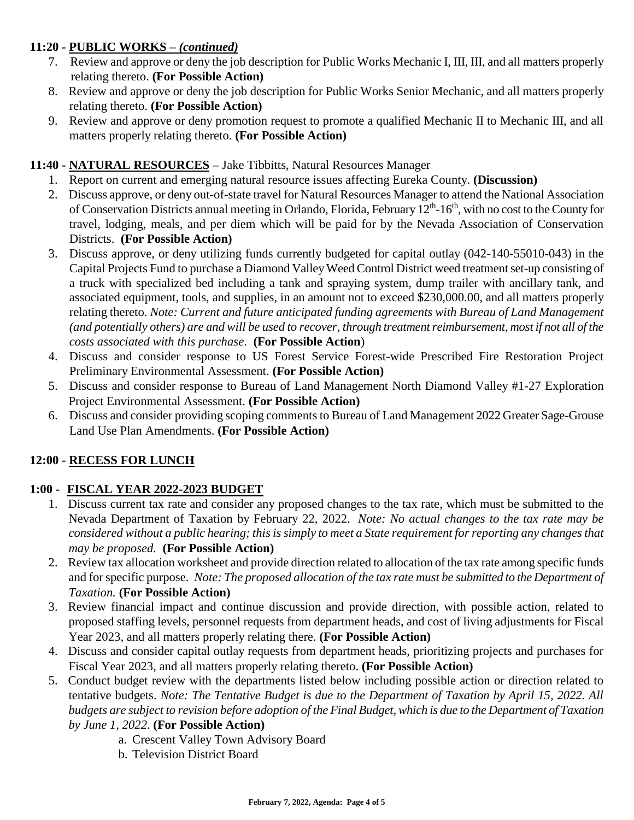# **11:20 - PUBLIC WORKS –** *(continued)*

- 7. Review and approve or deny the job description for Public Works Mechanic I, III, III, and all matters properly relating thereto. **(For Possible Action)**
- 8. Review and approve or deny the job description for Public Works Senior Mechanic, and all matters properly relating thereto. **(For Possible Action)**
- 9. Review and approve or deny promotion request to promote a qualified Mechanic II to Mechanic III, and all matters properly relating thereto. **(For Possible Action)**

# **11:40 - NATURAL RESOURCES –** Jake Tibbitts, Natural Resources Manager

- 1. Report on current and emerging natural resource issues affecting Eureka County. **(Discussion)**
- 2. Discuss approve, or deny out-of-state travel for Natural Resources Manager to attend the National Association of Conservation Districts annual meeting in Orlando, Florida, February 12<sup>th</sup>-16<sup>th</sup>, with no cost to the County for travel, lodging, meals, and per diem which will be paid for by the Nevada Association of Conservation Districts. **(For Possible Action)**
- 3. Discuss approve, or deny utilizing funds currently budgeted for capital outlay (042-140-55010-043) in the Capital Projects Fund to purchase a Diamond Valley Weed Control District weed treatment set-up consisting of a truck with specialized bed including a tank and spraying system, dump trailer with ancillary tank, and associated equipment, tools, and supplies, in an amount not to exceed \$230,000.00, and all matters properly relating thereto. *Note: Current and future anticipated funding agreements with Bureau of Land Management (and potentially others) are and will be used to recover, through treatment reimbursement, most if not all of the costs associated with this purchase*. **(For Possible Action**)
- 4. Discuss and consider response to US Forest Service Forest-wide Prescribed Fire Restoration Project Preliminary Environmental Assessment. **(For Possible Action)**
- 5. Discuss and consider response to Bureau of Land Management North Diamond Valley #1-27 Exploration Project Environmental Assessment. **(For Possible Action)**
- 6. Discuss and consider providing scoping comments to Bureau of Land Management 2022 Greater Sage-Grouse Land Use Plan Amendments. **(For Possible Action)**

# **12:00 - RECESS FOR LUNCH**

# **1:00 - FISCAL YEAR 2022-2023 BUDGET**

- 1. Discuss current tax rate and consider any proposed changes to the tax rate, which must be submitted to the Nevada Department of Taxation by February 22, 2022. *Note: No actual changes to the tax rate may be considered without a public hearing; this is simply to meet a State requirement for reporting any changes that may be proposed.* **(For Possible Action)**
- 2. Review tax allocation worksheet and provide direction related to allocation of the tax rate among specific funds and for specific purpose. *Note: The proposed allocation of the tax rate must be submitted to the Department of Taxation.* **(For Possible Action)**
- 3. Review financial impact and continue discussion and provide direction, with possible action, related to proposed staffing levels, personnel requests from department heads, and cost of living adjustments for Fiscal Year 2023, and all matters properly relating there. **(For Possible Action)**
- 4. Discuss and consider capital outlay requests from department heads, prioritizing projects and purchases for Fiscal Year 2023, and all matters properly relating thereto. **(For Possible Action)**
- 5. Conduct budget review with the departments listed below including possible action or direction related to tentative budgets. *Note: The Tentative Budget is due to the Department of Taxation by April 15, 2022. All budgets are subject to revision before adoption of the Final Budget, which is due to the Department of Taxation by June 1, 2022*. **(For Possible Action)**
	- a. Crescent Valley Town Advisory Board
	- b. Television District Board